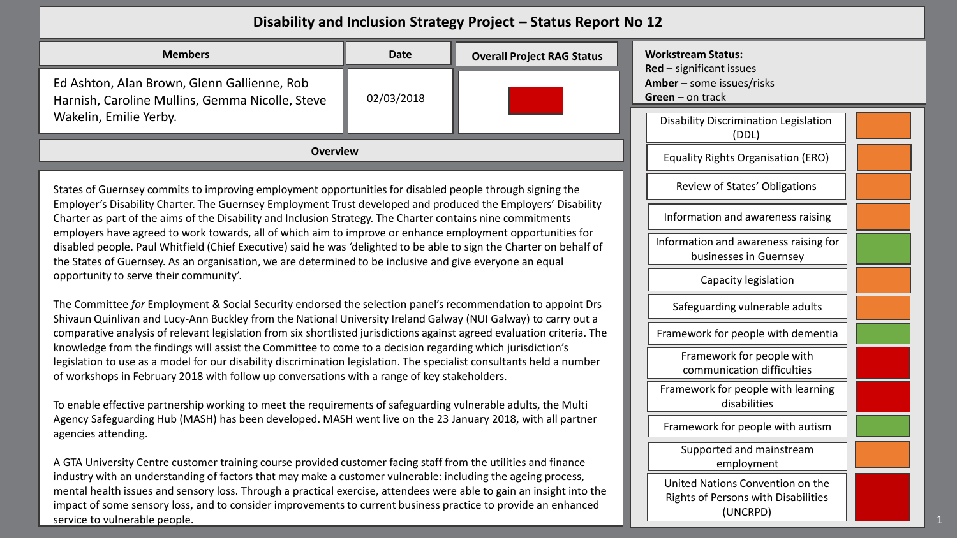## **Disability and Inclusion Strategy Project – Status Report No 12**

| <b>Members</b>                                                                                                                                                                                                                                                                                                                                                                         | <b>Date</b>                                                     | <b>Overall Project RAG Status</b> | <b>Workstream Status:</b><br>$Red$ – significant issues                             |  |  |
|----------------------------------------------------------------------------------------------------------------------------------------------------------------------------------------------------------------------------------------------------------------------------------------------------------------------------------------------------------------------------------------|-----------------------------------------------------------------|-----------------------------------|-------------------------------------------------------------------------------------|--|--|
| Ed Ashton, Alan Brown, Glenn Gallienne, Rob<br>02/03/2018<br>Harnish, Caroline Mullins, Gemma Nicolle, Steve                                                                                                                                                                                                                                                                           |                                                                 |                                   | Amber - some issues/risks<br>$Green - on track$                                     |  |  |
| Wakelin, Emilie Yerby.                                                                                                                                                                                                                                                                                                                                                                 |                                                                 |                                   | <b>Disability Discrimination Legislation</b><br>(DDL)                               |  |  |
| <b>Overview</b>                                                                                                                                                                                                                                                                                                                                                                        | <b>Equality Rights Organisation (ERO)</b>                       |                                   |                                                                                     |  |  |
| States of Guernsey commits to improving employment opportunities for disabled people through signing the                                                                                                                                                                                                                                                                               | Review of States' Obligations                                   |                                   |                                                                                     |  |  |
| Employer's Disability Charter. The Guernsey Employment Trust developed and produced the Employers' Disability<br>Charter as part of the aims of the Disability and Inclusion Strategy. The Charter contains nine commitments                                                                                                                                                           |                                                                 |                                   | Information and awareness raising                                                   |  |  |
| employers have agreed to work towards, all of which aim to improve or enhance employment opportunities for<br>disabled people. Paul Whitfield (Chief Executive) said he was 'delighted to be able to sign the Charter on behalf of<br>the States of Guernsey. As an organisation, we are determined to be inclusive and give everyone an equal                                         | Information and awareness raising for<br>businesses in Guernsey |                                   |                                                                                     |  |  |
| opportunity to serve their community'.                                                                                                                                                                                                                                                                                                                                                 |                                                                 | Capacity legislation              |                                                                                     |  |  |
| The Committee for Employment & Social Security endorsed the selection panel's recommendation to appoint Drs<br>Shivaun Quinlivan and Lucy-Ann Buckley from the National University Ireland Galway (NUI Galway) to carry out a                                                                                                                                                          |                                                                 |                                   | Safeguarding vulnerable adults                                                      |  |  |
| comparative analysis of relevant legislation from six shortlisted jurisdictions against agreed evaluation criteria. The<br>knowledge from the findings will assist the Committee to come to a decision regarding which jurisdiction's                                                                                                                                                  | Framework for people with dementia                              |                                   |                                                                                     |  |  |
| legislation to use as a model for our disability discrimination legislation. The specialist consultants held a number<br>of workshops in February 2018 with follow up conversations with a range of key stakeholders.                                                                                                                                                                  | Framework for people with<br>communication difficulties         |                                   |                                                                                     |  |  |
| To enable effective partnership working to meet the requirements of safeguarding vulnerable adults, the Multi                                                                                                                                                                                                                                                                          |                                                                 |                                   | Framework for people with learning<br>disabilities                                  |  |  |
| Agency Safeguarding Hub (MASH) has been developed. MASH went live on the 23 January 2018, with all partner<br>agencies attending.                                                                                                                                                                                                                                                      |                                                                 |                                   | Framework for people with autism                                                    |  |  |
| A GTA University Centre customer training course provided customer facing staff from the utilities and finance                                                                                                                                                                                                                                                                         |                                                                 |                                   | Supported and mainstream<br>employment                                              |  |  |
| industry with an understanding of factors that may make a customer vulnerable: including the ageing process,<br>mental health issues and sensory loss. Through a practical exercise, attendees were able to gain an insight into the<br>impact of some sensory loss, and to consider improvements to current business practice to provide an enhanced<br>service to vulnerable people. |                                                                 |                                   | United Nations Convention on the<br>Rights of Persons with Disabilities<br>(UNCRPD) |  |  |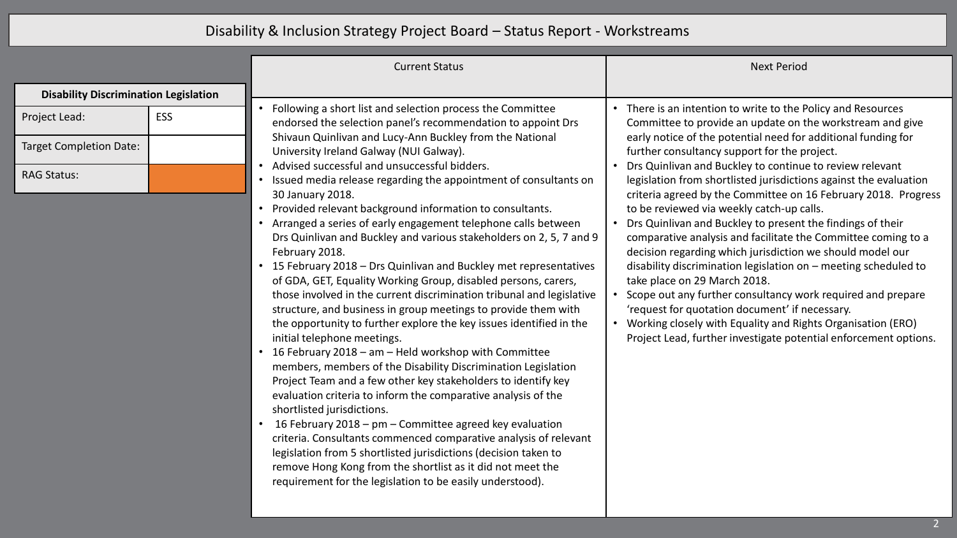## Disability & Inclusion Strategy Project Board – Status Report - Workstreams

|                                              |     | <b>Current Status</b>                                                                                                                                                                                                                                                                                                                                                                                                                                                                                                                                                                                                                                                                                                                                                                                                                                                                                                                                                                                                                                                                                                                                                                                                                                                                                                                                                       | <b>Next Period</b>                                                                                                                                                                                                                                                                                                                                                                                                                                                                                                                                                                                                                                                                                                                                                                              |
|----------------------------------------------|-----|-----------------------------------------------------------------------------------------------------------------------------------------------------------------------------------------------------------------------------------------------------------------------------------------------------------------------------------------------------------------------------------------------------------------------------------------------------------------------------------------------------------------------------------------------------------------------------------------------------------------------------------------------------------------------------------------------------------------------------------------------------------------------------------------------------------------------------------------------------------------------------------------------------------------------------------------------------------------------------------------------------------------------------------------------------------------------------------------------------------------------------------------------------------------------------------------------------------------------------------------------------------------------------------------------------------------------------------------------------------------------------|-------------------------------------------------------------------------------------------------------------------------------------------------------------------------------------------------------------------------------------------------------------------------------------------------------------------------------------------------------------------------------------------------------------------------------------------------------------------------------------------------------------------------------------------------------------------------------------------------------------------------------------------------------------------------------------------------------------------------------------------------------------------------------------------------|
| <b>Disability Discrimination Legislation</b> |     |                                                                                                                                                                                                                                                                                                                                                                                                                                                                                                                                                                                                                                                                                                                                                                                                                                                                                                                                                                                                                                                                                                                                                                                                                                                                                                                                                                             |                                                                                                                                                                                                                                                                                                                                                                                                                                                                                                                                                                                                                                                                                                                                                                                                 |
| Project Lead:                                | ESS | Following a short list and selection process the Committee<br>endorsed the selection panel's recommendation to appoint Drs                                                                                                                                                                                                                                                                                                                                                                                                                                                                                                                                                                                                                                                                                                                                                                                                                                                                                                                                                                                                                                                                                                                                                                                                                                                  | • There is an intention to write to the Policy and Resources<br>Committee to provide an update on the workstream and give                                                                                                                                                                                                                                                                                                                                                                                                                                                                                                                                                                                                                                                                       |
| <b>Target Completion Date:</b>               |     | Shivaun Quinlivan and Lucy-Ann Buckley from the National<br>University Ireland Galway (NUI Galway).                                                                                                                                                                                                                                                                                                                                                                                                                                                                                                                                                                                                                                                                                                                                                                                                                                                                                                                                                                                                                                                                                                                                                                                                                                                                         | early notice of the potential need for additional funding for<br>further consultancy support for the project.                                                                                                                                                                                                                                                                                                                                                                                                                                                                                                                                                                                                                                                                                   |
| <b>RAG Status:</b>                           |     | Advised successful and unsuccessful bidders.<br>Issued media release regarding the appointment of consultants on<br>30 January 2018.<br>Provided relevant background information to consultants.<br>Arranged a series of early engagement telephone calls between<br>Drs Quinlivan and Buckley and various stakeholders on 2, 5, 7 and 9<br>February 2018.<br>• 15 February 2018 - Drs Quinlivan and Buckley met representatives<br>of GDA, GET, Equality Working Group, disabled persons, carers,<br>those involved in the current discrimination tribunal and legislative<br>structure, and business in group meetings to provide them with<br>the opportunity to further explore the key issues identified in the<br>initial telephone meetings.<br>• 16 February 2018 - am - Held workshop with Committee<br>members, members of the Disability Discrimination Legislation<br>Project Team and a few other key stakeholders to identify key<br>evaluation criteria to inform the comparative analysis of the<br>shortlisted jurisdictions.<br>16 February 2018 - pm - Committee agreed key evaluation<br>criteria. Consultants commenced comparative analysis of relevant<br>legislation from 5 shortlisted jurisdictions (decision taken to<br>remove Hong Kong from the shortlist as it did not meet the<br>requirement for the legislation to be easily understood). | Drs Quinlivan and Buckley to continue to review relevant<br>legislation from shortlisted jurisdictions against the evaluation<br>criteria agreed by the Committee on 16 February 2018. Progress<br>to be reviewed via weekly catch-up calls.<br>Drs Quinlivan and Buckley to present the findings of their<br>comparative analysis and facilitate the Committee coming to a<br>decision regarding which jurisdiction we should model our<br>disability discrimination legislation on - meeting scheduled to<br>take place on 29 March 2018.<br>Scope out any further consultancy work required and prepare<br>'request for quotation document' if necessary.<br>Working closely with Equality and Rights Organisation (ERO)<br>Project Lead, further investigate potential enforcement options. |
|                                              |     |                                                                                                                                                                                                                                                                                                                                                                                                                                                                                                                                                                                                                                                                                                                                                                                                                                                                                                                                                                                                                                                                                                                                                                                                                                                                                                                                                                             |                                                                                                                                                                                                                                                                                                                                                                                                                                                                                                                                                                                                                                                                                                                                                                                                 |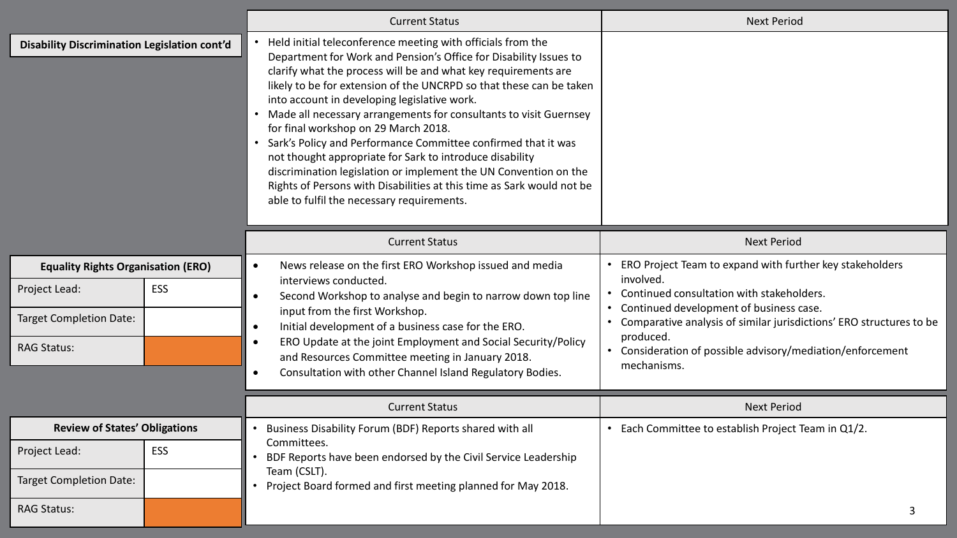|                                                     |            | <b>Current Status</b>                                                                                                                                                                                                                                                                                                                                                                                                                                                                                                                                                                                                                                                                                                                                          | <b>Next Period</b>                                                                                                              |
|-----------------------------------------------------|------------|----------------------------------------------------------------------------------------------------------------------------------------------------------------------------------------------------------------------------------------------------------------------------------------------------------------------------------------------------------------------------------------------------------------------------------------------------------------------------------------------------------------------------------------------------------------------------------------------------------------------------------------------------------------------------------------------------------------------------------------------------------------|---------------------------------------------------------------------------------------------------------------------------------|
| <b>Disability Discrimination Legislation cont'd</b> |            | Held initial teleconference meeting with officials from the<br>Department for Work and Pension's Office for Disability Issues to<br>clarify what the process will be and what key requirements are<br>likely to be for extension of the UNCRPD so that these can be taken<br>into account in developing legislative work.<br>Made all necessary arrangements for consultants to visit Guernsey<br>for final workshop on 29 March 2018.<br>Sark's Policy and Performance Committee confirmed that it was<br>not thought appropriate for Sark to introduce disability<br>discrimination legislation or implement the UN Convention on the<br>Rights of Persons with Disabilities at this time as Sark would not be<br>able to fulfil the necessary requirements. |                                                                                                                                 |
|                                                     |            | <b>Current Status</b>                                                                                                                                                                                                                                                                                                                                                                                                                                                                                                                                                                                                                                                                                                                                          | <b>Next Period</b>                                                                                                              |
| <b>Equality Rights Organisation (ERO)</b>           |            | News release on the first ERO Workshop issued and media                                                                                                                                                                                                                                                                                                                                                                                                                                                                                                                                                                                                                                                                                                        | ERO Project Team to expand with further key stakeholders<br>involved.                                                           |
| Project Lead:                                       | <b>ESS</b> | interviews conducted.<br>Continued consultation with stakeholders.<br>Second Workshop to analyse and begin to narrow down top line<br>Continued development of business case.<br>input from the first Workshop.<br>Initial development of a business case for the ERO.<br>$\bullet$<br>produced.<br>ERO Update at the joint Employment and Social Security/Policy<br>and Resources Committee meeting in January 2018.                                                                                                                                                                                                                                                                                                                                          |                                                                                                                                 |
| <b>Target Completion Date:</b>                      |            |                                                                                                                                                                                                                                                                                                                                                                                                                                                                                                                                                                                                                                                                                                                                                                | Comparative analysis of similar jurisdictions' ERO structures to be<br>Consideration of possible advisory/mediation/enforcement |
| <b>RAG Status:</b>                                  |            |                                                                                                                                                                                                                                                                                                                                                                                                                                                                                                                                                                                                                                                                                                                                                                |                                                                                                                                 |
|                                                     |            | Consultation with other Channel Island Regulatory Bodies.<br>$\bullet$                                                                                                                                                                                                                                                                                                                                                                                                                                                                                                                                                                                                                                                                                         | mechanisms.                                                                                                                     |
|                                                     |            | <b>Current Status</b>                                                                                                                                                                                                                                                                                                                                                                                                                                                                                                                                                                                                                                                                                                                                          | <b>Next Period</b>                                                                                                              |
| <b>Review of States' Obligations</b>                |            | Business Disability Forum (BDF) Reports shared with all                                                                                                                                                                                                                                                                                                                                                                                                                                                                                                                                                                                                                                                                                                        | Each Committee to establish Project Team in Q1/2.                                                                               |
| Project Lead:                                       | <b>ESS</b> | Committees.<br>BDF Reports have been endorsed by the Civil Service Leadership                                                                                                                                                                                                                                                                                                                                                                                                                                                                                                                                                                                                                                                                                  |                                                                                                                                 |
| <b>Target Completion Date:</b>                      |            | Team (CSLT).<br>Project Board formed and first meeting planned for May 2018.                                                                                                                                                                                                                                                                                                                                                                                                                                                                                                                                                                                                                                                                                   |                                                                                                                                 |
| <b>RAG Status:</b>                                  |            |                                                                                                                                                                                                                                                                                                                                                                                                                                                                                                                                                                                                                                                                                                                                                                |                                                                                                                                 |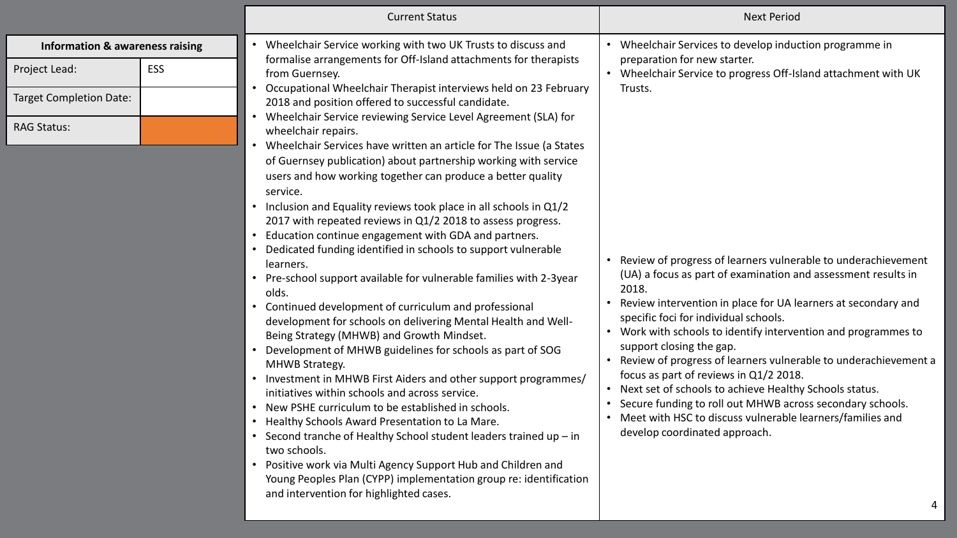|                                                                                                                     |     | <b>Current Status</b>                                                                                                                                                                                                                                                                                                                                                                                                                                                                                                                                                                                                                                                                                                                                                                                                                                                                                                                                                                                                                                                                                                                                                                                                                                                                                                                                                                                                                                                                                                                                                                                                                                                                                                 | <b>Next Period</b>                                                                                                                                                                                                                                                                                                                                                                                                                                                                                                                                                                                                                                                                                                                                                                                                                                                                  |
|---------------------------------------------------------------------------------------------------------------------|-----|-----------------------------------------------------------------------------------------------------------------------------------------------------------------------------------------------------------------------------------------------------------------------------------------------------------------------------------------------------------------------------------------------------------------------------------------------------------------------------------------------------------------------------------------------------------------------------------------------------------------------------------------------------------------------------------------------------------------------------------------------------------------------------------------------------------------------------------------------------------------------------------------------------------------------------------------------------------------------------------------------------------------------------------------------------------------------------------------------------------------------------------------------------------------------------------------------------------------------------------------------------------------------------------------------------------------------------------------------------------------------------------------------------------------------------------------------------------------------------------------------------------------------------------------------------------------------------------------------------------------------------------------------------------------------------------------------------------------------|-------------------------------------------------------------------------------------------------------------------------------------------------------------------------------------------------------------------------------------------------------------------------------------------------------------------------------------------------------------------------------------------------------------------------------------------------------------------------------------------------------------------------------------------------------------------------------------------------------------------------------------------------------------------------------------------------------------------------------------------------------------------------------------------------------------------------------------------------------------------------------------|
| <b>Information &amp; awareness raising</b><br>Project Lead:<br><b>Target Completion Date:</b><br><b>RAG Status:</b> | ESS | • Wheelchair Service working with two UK Trusts to discuss and<br>formalise arrangements for Off-Island attachments for therapists<br>from Guernsey.<br>Occupational Wheelchair Therapist interviews held on 23 February<br>2018 and position offered to successful candidate.<br>Wheelchair Service reviewing Service Level Agreement (SLA) for<br>wheelchair repairs.<br>Wheelchair Services have written an article for The Issue (a States<br>of Guernsey publication) about partnership working with service<br>users and how working together can produce a better quality<br>service.<br>• Inclusion and Equality reviews took place in all schools in Q1/2<br>2017 with repeated reviews in Q1/2 2018 to assess progress.<br>Education continue engagement with GDA and partners.<br>Dedicated funding identified in schools to support vulnerable<br>learners.<br>• Pre-school support available for vulnerable families with 2-3year<br>olds.<br>• Continued development of curriculum and professional<br>development for schools on delivering Mental Health and Well-<br>Being Strategy (MHWB) and Growth Mindset.<br>• Development of MHWB guidelines for schools as part of SOG<br>MHWB Strategy.<br>• Investment in MHWB First Aiders and other support programmes/<br>initiatives within schools and across service.<br>• New PSHE curriculum to be established in schools.<br>Healthy Schools Award Presentation to La Mare.<br>• Second tranche of Healthy School student leaders trained up - in<br>two schools.<br>• Positive work via Multi Agency Support Hub and Children and<br>Young Peoples Plan (CYPP) implementation group re: identification<br>and intervention for highlighted cases. | • Wheelchair Services to develop induction programme in<br>preparation for new starter.<br>• Wheelchair Service to progress Off-Island attachment with UK<br>Trusts.<br>• Review of progress of learners vulnerable to underachievement<br>(UA) a focus as part of examination and assessment results in<br>2018.<br>Review intervention in place for UA learners at secondary and<br>specific foci for individual schools.<br>• Work with schools to identify intervention and programmes to<br>support closing the gap.<br>Review of progress of learners vulnerable to underachievement a<br>$\bullet$<br>focus as part of reviews in Q1/2 2018.<br>• Next set of schools to achieve Healthy Schools status.<br>• Secure funding to roll out MHWB across secondary schools.<br>• Meet with HSC to discuss vulnerable learners/families and<br>develop coordinated approach.<br>4 |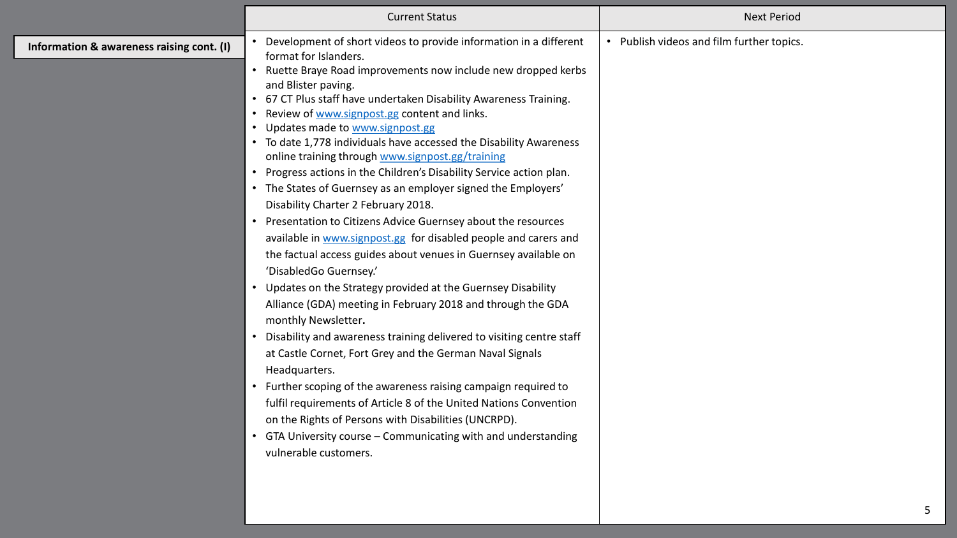|                                           | <b>Current Status</b>                                                                                                                                                                                                                                                                                                                                                                                                                                                                                                                                                                                                                                                                                                                                                                                                                                                                                                                                                                                                                                                                                                                                                                                                                                                                                                                                                                                                                                                                                | <b>Next Period</b>                        |
|-------------------------------------------|------------------------------------------------------------------------------------------------------------------------------------------------------------------------------------------------------------------------------------------------------------------------------------------------------------------------------------------------------------------------------------------------------------------------------------------------------------------------------------------------------------------------------------------------------------------------------------------------------------------------------------------------------------------------------------------------------------------------------------------------------------------------------------------------------------------------------------------------------------------------------------------------------------------------------------------------------------------------------------------------------------------------------------------------------------------------------------------------------------------------------------------------------------------------------------------------------------------------------------------------------------------------------------------------------------------------------------------------------------------------------------------------------------------------------------------------------------------------------------------------------|-------------------------------------------|
| Information & awareness raising cont. (I) | Development of short videos to provide information in a different<br>format for Islanders.<br>• Ruette Braye Road improvements now include new dropped kerbs<br>and Blister paving.<br>• 67 CT Plus staff have undertaken Disability Awareness Training.<br>• Review of www.signpost.gg content and links.<br>• Updates made to www.signpost.gg<br>• To date 1,778 individuals have accessed the Disability Awareness<br>online training through www.signpost.gg/training<br>• Progress actions in the Children's Disability Service action plan.<br>• The States of Guernsey as an employer signed the Employers'<br>Disability Charter 2 February 2018.<br>• Presentation to Citizens Advice Guernsey about the resources<br>available in www.signpost.gg for disabled people and carers and<br>the factual access guides about venues in Guernsey available on<br>'DisabledGo Guernsey.'<br>• Updates on the Strategy provided at the Guernsey Disability<br>Alliance (GDA) meeting in February 2018 and through the GDA<br>monthly Newsletter.<br>• Disability and awareness training delivered to visiting centre staff<br>at Castle Cornet, Fort Grey and the German Naval Signals<br>Headquarters.<br>• Further scoping of the awareness raising campaign required to<br>fulfil requirements of Article 8 of the United Nations Convention<br>on the Rights of Persons with Disabilities (UNCRPD).<br>• GTA University course - Communicating with and understanding<br>vulnerable customers. | • Publish videos and film further topics. |
|                                           |                                                                                                                                                                                                                                                                                                                                                                                                                                                                                                                                                                                                                                                                                                                                                                                                                                                                                                                                                                                                                                                                                                                                                                                                                                                                                                                                                                                                                                                                                                      |                                           |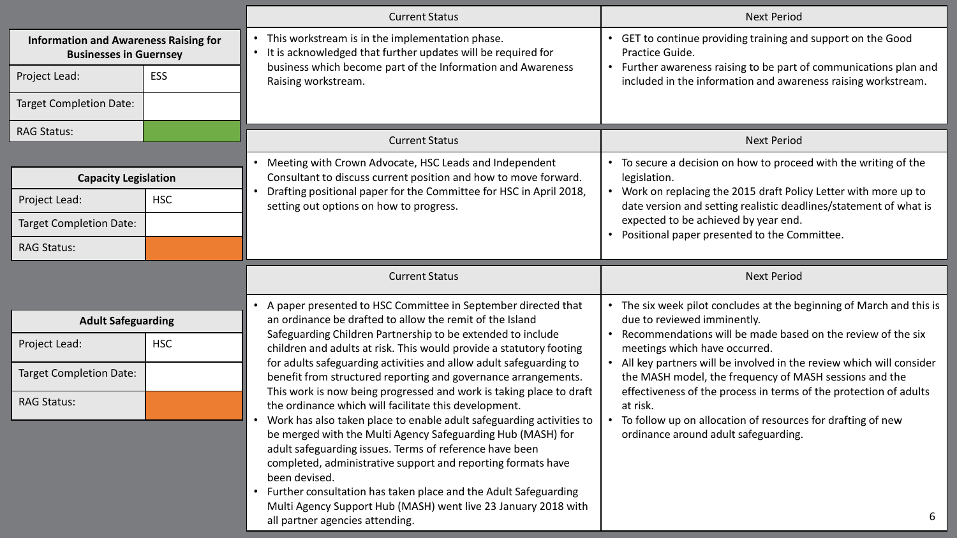|                                                                               |            | <b>Current Status</b>                                                                                                                                                                                       | <b>Next Period</b>                                                                                                                                                                                 |
|-------------------------------------------------------------------------------|------------|-------------------------------------------------------------------------------------------------------------------------------------------------------------------------------------------------------------|----------------------------------------------------------------------------------------------------------------------------------------------------------------------------------------------------|
| <b>Information and Awareness Raising for</b><br><b>Businesses in Guernsey</b> |            | This workstream is in the implementation phase.<br>It is acknowledged that further updates will be required for<br>business which become part of the Information and Awareness                              | • GET to continue providing training and support on the Good<br>Practice Guide.<br>• Further awareness raising to be part of communications plan and                                               |
| Project Lead:                                                                 | ESS        | Raising workstream.                                                                                                                                                                                         | included in the information and awareness raising workstream.                                                                                                                                      |
| <b>Target Completion Date:</b>                                                |            |                                                                                                                                                                                                             |                                                                                                                                                                                                    |
| <b>RAG Status:</b>                                                            |            | <b>Current Status</b>                                                                                                                                                                                       | <b>Next Period</b>                                                                                                                                                                                 |
| <b>Capacity Legislation</b>                                                   |            | Meeting with Crown Advocate, HSC Leads and Independent<br>Consultant to discuss current position and how to move forward.                                                                                   | To secure a decision on how to proceed with the writing of the<br>legislation.                                                                                                                     |
| Project Lead:                                                                 | <b>HSC</b> | Drafting positional paper for the Committee for HSC in April 2018,<br>setting out options on how to progress.                                                                                               | Work on replacing the 2015 draft Policy Letter with more up to<br>date version and setting realistic deadlines/statement of what is                                                                |
| <b>Target Completion Date:</b>                                                |            |                                                                                                                                                                                                             | expected to be achieved by year end.<br>Positional paper presented to the Committee.                                                                                                               |
| <b>RAG Status:</b>                                                            |            |                                                                                                                                                                                                             |                                                                                                                                                                                                    |
|                                                                               |            | <b>Current Status</b>                                                                                                                                                                                       | <b>Next Period</b>                                                                                                                                                                                 |
| <b>Adult Safeguarding</b>                                                     |            | A paper presented to HSC Committee in September directed that<br>$\bullet$<br>an ordinance be drafted to allow the remit of the Island                                                                      | The six week pilot concludes at the beginning of March and this is<br>due to reviewed imminently.                                                                                                  |
| Project Lead:                                                                 | <b>HSC</b> | Safeguarding Children Partnership to be extended to include<br>children and adults at risk. This would provide a statutory footing                                                                          | Recommendations will be made based on the review of the six<br>meetings which have occurred.                                                                                                       |
| <b>Target Completion Date:</b>                                                |            | for adults safeguarding activities and allow adult safeguarding to<br>benefit from structured reporting and governance arrangements.<br>This work is now being progressed and work is taking place to draft | All key partners will be involved in the review which will consider<br>the MASH model, the frequency of MASH sessions and the<br>effectiveness of the process in terms of the protection of adults |
| <b>RAG Status:</b>                                                            |            |                                                                                                                                                                                                             |                                                                                                                                                                                                    |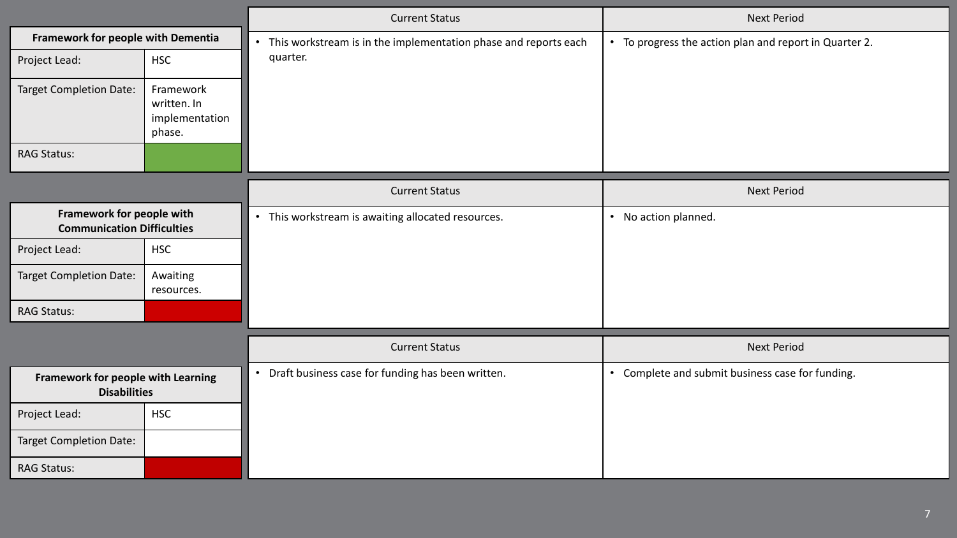|                                                                |                                                      | <b>Current Status</b>                                                        | <b>Next Period</b>                                     |
|----------------------------------------------------------------|------------------------------------------------------|------------------------------------------------------------------------------|--------------------------------------------------------|
| Framework for people with Dementia                             |                                                      | This workstream is in the implementation phase and reports each<br>$\bullet$ | • To progress the action plan and report in Quarter 2. |
| Project Lead:                                                  | <b>HSC</b>                                           | quarter.                                                                     |                                                        |
| <b>Target Completion Date:</b>                                 | Framework<br>written. In<br>implementation<br>phase. |                                                                              |                                                        |
| <b>RAG Status:</b>                                             |                                                      |                                                                              |                                                        |
|                                                                |                                                      | <b>Current Status</b>                                                        | <b>Next Period</b>                                     |
| Framework for people with<br><b>Communication Difficulties</b> |                                                      | • This workstream is awaiting allocated resources.                           | • No action planned.                                   |
| Project Lead:                                                  | <b>HSC</b>                                           |                                                                              |                                                        |
| <b>Target Completion Date:</b>                                 | Awaiting<br>resources.                               |                                                                              |                                                        |
| <b>RAG Status:</b>                                             |                                                      |                                                                              |                                                        |
|                                                                |                                                      | <b>Current Status</b>                                                        | <b>Next Period</b>                                     |
| Framework for people with Learning<br><b>Disabilities</b>      |                                                      | Draft business case for funding has been written.                            | • Complete and submit business case for funding.       |
| Project Lead:                                                  | <b>HSC</b>                                           |                                                                              |                                                        |
| <b>Target Completion Date:</b>                                 |                                                      |                                                                              |                                                        |
| <b>RAG Status:</b>                                             |                                                      |                                                                              |                                                        |